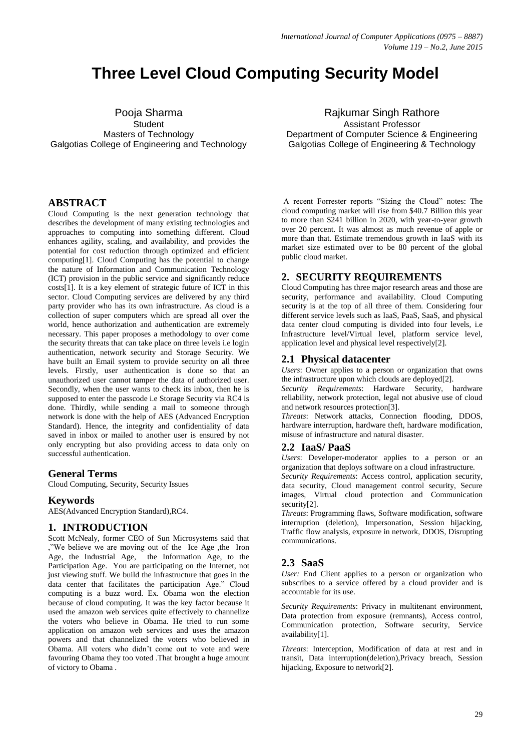# **Three Level Cloud Computing Security Model**

Pooja Sharma **Student** Masters of Technology Galgotias College of Engineering and Technology

# **ABSTRACT**

Cloud Computing is the next generation technology that describes the development of many existing technologies and approaches to computing into something different. Cloud enhances agility, scaling, and availability, and provides the potential for cost reduction through optimized and efficient computing[1]. Cloud Computing has the potential to change the nature of Information and Communication Technology (ICT) provision in the public service and significantly reduce costs[1]. It is a key element of strategic future of ICT in this sector. Cloud Computing services are delivered by any third party provider who has its own infrastructure. As cloud is a collection of super computers which are spread all over the world, hence authorization and authentication are extremely necessary. This paper proposes a methodology to over come the security threats that can take place on three levels i.e login authentication, network security and Storage Security. We have built an Email system to provide security on all three levels. Firstly, user authentication is done so that an unauthorized user cannot tamper the data of authorized user. Secondly, when the user wants to check its inbox, then he is supposed to enter the passcode i.e Storage Security via RC4 is done. Thirdly, while sending a mail to someone through network is done with the help of AES (Advanced Encryption Standard). Hence, the integrity and confidentiality of data saved in inbox or mailed to another user is ensured by not only encrypting but also providing access to data only on successful authentication.

# **General Terms**

Cloud Computing, Security, Security Issues

## **Keywords**

AES(Advanced Encryption Standard),RC4.

## **1. INTRODUCTION**

Scott McNealy, former CEO of Sun Microsystems said that ,"We believe we are moving out of the Ice Age ,the Iron Age, the Industrial Age, the Information Age, to the Participation Age. You are participating on the Internet, not just viewing stuff. We build the infrastructure that goes in the data center that facilitates the participation Age." Cloud computing is a buzz word. Ex. Obama won the election because of cloud computing. It was the key factor because it used the amazon web services quite effectively to channelize the voters who believe in Obama. He tried to run some application on amazon web services and uses the amazon powers and that channelized the voters who believed in Obama. All voters who didn't come out to vote and were favouring Obama they too voted .That brought a huge amount of victory to Obama .

Rajkumar Singh Rathore Assistant Professor Department of Computer Science & Engineering Galgotias College of Engineering & Technology

A recent Forrester reports "Sizing the Cloud" notes: The cloud computing market will rise from \$40.7 Billion this year to more than \$241 billion in 2020, with year-to-year growth over 20 percent. It was almost as much revenue of apple or more than that. Estimate tremendous growth in IaaS with its market size estimated over to be 80 percent of the global public cloud market.

# **2. SECURITY REQUIREMENTS**

Cloud Computing has three major research areas and those are security, performance and availability. Cloud Computing security is at the top of all three of them. Considering four different service levels such as IaaS, PaaS, SaaS, and physical data center cloud computing is divided into four levels, i.e Infrastructure level/Virtual level, platform service level, application level and physical level respectively[2].

## **2.1 Physical datacenter**

*Users*: Owner applies to a person or organization that owns the infrastructure upon which clouds are deployed[2].

*Security Requirements*: Hardware Security, hardware reliability, network protection, legal not abusive use of cloud and network resources protection[3].

*Threats*: Network attacks, Connection flooding, DDOS, hardware interruption, hardware theft, hardware modification, misuse of infrastructure and natural disaster.

## **2.2 IaaS/ PaaS**

*Users*: Developer-moderator applies to a person or an organization that deploys software on a cloud infrastructure.

*Security Requirements*: Access control, application security, data security, Cloud management control security, Secure images, Virtual cloud protection and Communication security[2].

*Threats*: Programming flaws, Software modification, software interruption (deletion), Impersonation, Session hijacking, Traffic flow analysis, exposure in network, DDOS, Disrupting communications.

## **2.3 SaaS**

*User:* End Client applies to a person or organization who subscribes to a service offered by a cloud provider and is accountable for its use.

*Security Requirements*: Privacy in multitenant environment, Data protection from exposure (remnants), Access control, Communication protection, Software security, Service availability[1].

*Threats*: Interception, Modification of data at rest and in transit, Data interruption(deletion),Privacy breach, Session hijacking, Exposure to network[2].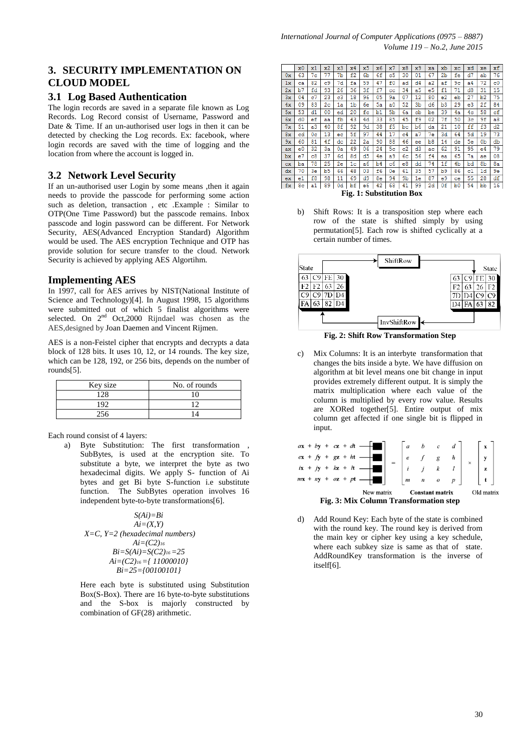# **3. SECURITY IMPLEMENTATION ON CLOUD MODEL**

## **3.1 Log Based Authentication**

The login records are saved in a separate file known as Log Records. Log Record consist of Username, Password and Date & Time. If an un-authorised user logs in then it can be detected by checking the Log records. Ex: facebook, where login records are saved with the time of logging and the location from where the account is logged in.

# **3.2 Network Level Security**

If an un-authorised user Login by some means ,then it again needs to provide the passcode for performing some action such as deletion, transaction , etc .Example : Similar to OTP(One Time Password) but the passcode remains. Inbox passcode and login password can be different. For Network Security, AES(Advanced Encryption Standard) Algorithm would be used. The AES encryption Technique and OTP has provide solution for secure transfer to the cloud. Network Security is achieved by applying AES Algortihm.

## **Implementing AES**

In 1997, call for AES arrives by NIST(National Institute of Science and Technology)[4]. In August 1998, 15 algorithms were submitted out of which 5 finalist algorithms were selected. On  $2<sup>nd</sup>$  Oct, 2000 Rijndael was chosen as the AES,designed b[y Joan Daemen](http://en.wikipedia.org/wiki/Joan_Daemen) and [Vincent Rijmen.](http://en.wikipedia.org/wiki/Vincent_Rijmen)

AES is a non-Feistel cipher that encrypts and decrypts a data block of 128 bits. It uses 10, 12, or 14 rounds. The key size, which can be 128, 192, or 256 bits, depends on the number of rounds[5].

| Key size | No. of rounds |
|----------|---------------|
| 128      |               |
| 192      |               |
|          |               |

Each round consist of 4 layers:

a) Byte Substitution: The first transformation SubBytes, is used at the encryption site. To substitute a byte, we interpret the byte as two hexadecimal digits. We apply S- function of Ai bytes and get Bi byte S-function i.e substitute function. The SubBytes operation involves 16 independent byte-to-byte transformations[6].

$$
S(Ai)=Bi
$$
  
\n $Ai=(X,Y)$   
\n $X=C$ ,  $Y=2$  (hexadecimal numbers)  
\n $Ai=(C2)_{16}$   
\n $Bi=S(Ai)=S(C2)_{16}=25$   
\n $Ai=(C2)_{16}=\{11000010\}$   
\n $Bi=25=[00100101]$ 

Here each byte is substituted using Substitution Box(S-Box). There are 16 byte-to-byte substitutions and the S-box is majorly constructed by combination of GF(28) arithmetic.

|           | x0             | x1             | x2 | x3 | x4                              | x5 | x6          | x7             | x8             | x9             | xa             | xb             | $\mathbf{x}$ c | xd             | xe | xf          |
|-----------|----------------|----------------|----|----|---------------------------------|----|-------------|----------------|----------------|----------------|----------------|----------------|----------------|----------------|----|-------------|
| 0x        | 63             | 7 <sub>c</sub> | 77 | 7b | £2                              | 6b | 6f          | c5             | 30             | 01             | 67             | 2 <sub>b</sub> | fe             | d7             | ab | 76          |
| 1x        | ca             | 82             | c9 | 7d | fa                              | 59 | 47          | £0             | ad             | d4             | a2             | af             | 9с             | a <sub>4</sub> | 72 | $_{\rm c0}$ |
| 2x        | b7             | fd             | 93 | 26 | 36                              | 3f | £7          | $_{cc}$        | 34             | a5             | e5             | f1             | 71             | d8             | 31 | 15          |
| 3x        | 04             | c7             | 23 | c3 | 18                              | 96 | 05          | 9a             | 07             | 12             | 80             | e2             | eb             | 27             | b2 | 75          |
| 4x        | 09             | 83             | 2с | 1a | 1 <sub>b</sub>                  | 6e | 5a          | a0             | 52             | 3 <sub>b</sub> | d <sub>6</sub> | b3             | 29             | e3             | 2f | 84          |
| 5x        | 53             | $_{d1}$        | 00 | ed | 20                              | fc | $_{\rm b1}$ | 5 <sub>b</sub> | 6a             | cb             | be             | 39             | 4a             | 4c             | 58 | cf          |
| 6x        | d0             | ef             | aa | £b | 43                              | 4d | 33          | 85             | 45             | £9             | 02             | 7f             | 50             | Зc             | 9£ | a8          |
| 7x        | 51             | a <sub>3</sub> | 40 | 8f | 92                              | 9d | 38          | £5             | bc             | b6             | da             | 21             | 10             | ff             | £3 | d2          |
| 8x        | cd             | 0 <sup>c</sup> | 13 | ec | 5f                              | 97 | 44          | 17             | C <sub>4</sub> | a7             | 7e             | 3d             | 64             | 5d             | 19 | 73          |
| 9x        | 60             | 81             | 4f | dc | 22                              | 2a | 90          | 88             | 46             | ee             | b8             | 14             | de             | 5e             | 0b | db          |
| ax        | e0             | 32             | 3a | 0a | 49                              | 06 | 24          | 5 <sub>c</sub> | c2             | d3             | ac             | 62             | 91             | 95             | e4 | 79          |
| bx        | e <sub>7</sub> | $_{c8}$        | 37 | 6d | 8d                              | d5 | 4e          | a9             | 6с             | 56             | f4             | ea             | 65             | 7a             | aе | 08          |
| <b>CX</b> | ba             | 78             | 25 | 2e | 1 <sup>c</sup>                  | a6 | b4          | c6             | e8             | dd             | 74             | 1f             | 4 <sub>b</sub> | bd             | 8b | 8a          |
| dx        | 70             | 3e             | b5 | 66 | 48                              | 03 | £6          | 0e             | 61             | 35             | 57             | b9             | 86             | c1             | 1d | 9e          |
| ex.       | e1             | £8             | 98 | 11 | 69                              | d9 | 8e          | 94             | 9b             | 1e             | 87             | e9             | ce             | 55             | 28 | df          |
| fx        | 8c             | a1             | 89 | 0d | bf                              | e6 | 42          | 68             | 41             | 99             | 2d             | 0f             | b0             | 54             | bb | 16          |
|           |                |                |    |    | <b>Fig. 1: Substitution Box</b> |    |             |                |                |                |                |                |                |                |    |             |

b) Shift Rows: It is a transposition step where each row of the state is shifted simply by using permutation[5]. Each row is shifted cyclically at a certain number of times.



**Fig. 2: Shift Row Transformation Step**

c) Mix Columns: It is an interbyte transformation that changes the bits inside a byte. We have diffusion on algorithm at bit level means one bit change in input provides extremely different output. It is simply the matrix multiplication where each value of the column is multiplied by every row value. Results are XORed together[5]. Entire output of mix column get affected if one single bit is flipped in input.



d) Add Round Key: Each byte of the state is combined with the round key. The round key is derived from the main key or cipher key using a key schedule, where each subkey size is same as that of state. AddRoundKey transformation is the inverse of itself[6].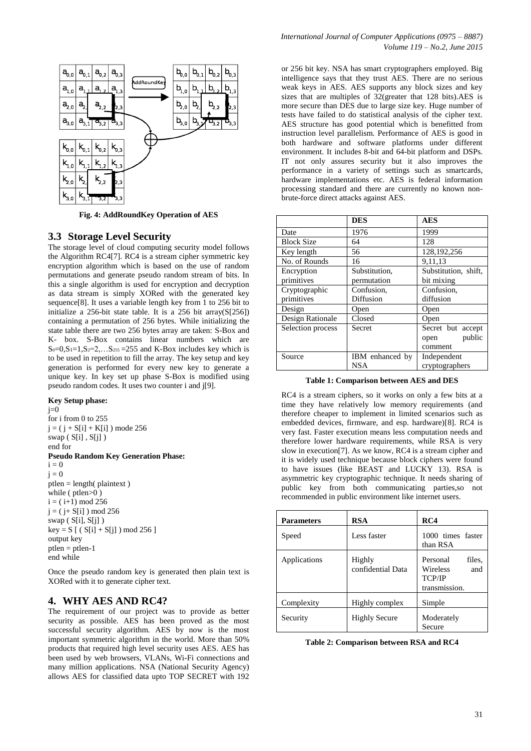

**Fig. 4: AddRoundKey Operation of AES**

## **3.3 Storage Level Security**

The storage level of cloud computing security model follows the Algorithm RC4[7]. RC4 is a stream cipher symmetric key encryption algorithm which is based on the use of random permutations and generate pseudo random stream of bits. In this a single algorithm is used for encryption and decryption as data stream is simply XORed with the generated key sequence[8]. It uses a variable length key from 1 to 256 bit to initialize a 256-bit state table. It is a 256 bit array( $S[256]$ ) containing a permutation of 256 bytes. While initializing the state table there are two 256 bytes array are taken: S-Box and K- box. S-Box contains linear numbers which are  $S_0=0, S_1=1, S_2=2, \ldots S_{255}=255$  and K-Box includes key which is to be used in repetition to fill the array. The key setup and key generation is performed for every new key to generate a unique key. In key set up phase S-Box is modified using pseudo random codes. It uses two counter i and j[9].

## **Key Setup phase:**

 $j=0$ for i from 0 to 255  $j = (j + S[i] + K[i])$  mode 256 swap  $(S[i], S[i])$ end for **Pseudo Random Key Generation Phase:**   $i = 0$  $j = 0$ ptlen = length( plaintext) while (ptlen>0)  $i = (i+1) \mod 256$  $j = (j + S[i]) \mod 256$ swap  $(S[i], S[j])$  $key = S [ ( S[i] + S[j] ) \text{ mod } 256 ]$ output key ptlen = ptlen-1 end while

Once the pseudo random key is generated then plain text is XORed with it to generate cipher text.

# **4. WHY AES AND RC4?**

The requirement of our project was to provide as better security as possible. AES has been proved as the most successful security algorithm. AES by now is the most important symmetric algorithm in the world. More than 50% products that required high level security uses AES. AES has been used by web browsers, VLANs, Wi-Fi connections and many million applications. NSA (National Security Agency) allows AES for classified data upto TOP SECRET with 192

or 256 bit key. NSA has smart cryptographers employed. Big intelligence says that they trust AES. There are no serious weak keys in AES. AES supports any block sizes and key sizes that are multiples of 32(greater that 128 bits).AES is more secure than DES due to large size key. Huge number of tests have failed to do statistical analysis of the cipher text. AES structure has good potential which is benefitted from instruction level parallelism. Performance of AES is good in both hardware and software platforms under different environment. It includes 8-bit and 64-bit platform and DSPs. IT not only assures security but it also improves the performance in a variety of settings such as smartcards, hardware implementations etc. AES is federal information processing standard and there are currently no known nonbrute-force direct attacks against AES.

|                   | <b>DES</b>      | <b>AES</b>           |
|-------------------|-----------------|----------------------|
| Date              | 1976            | 1999                 |
| <b>Block Size</b> | 64              | 128                  |
| Key length        | 56              | 128, 192, 256        |
| No. of Rounds     | 16              | 9.11.13              |
| Encryption        | Substitution,   | Substitution, shift, |
| primitives        | permutation     | bit mixing           |
| Cryptographic     | Confusion.      | Confusion.           |
| primitives        | Diffusion       | diffusion            |
| Design            | Open            | Open                 |
| Design Rationale  | Closed          | Open                 |
| Selection process | <b>Secret</b>   | Secret but accept    |
|                   |                 | public<br>open       |
|                   |                 | comment              |
| Source            | IBM enhanced by | Independent          |
|                   | <b>NSA</b>      | cryptographers       |

**Table 1: Comparison between AES and DES**

RC4 is a stream ciphers, so it works on only a few bits at a time they have relatively low memory requirements (and therefore cheaper to implement in limited scenarios such as embedded devices, firmware, and esp. hardware)[8]. RC4 is very fast. Faster execution means less computation needs and therefore lower hardware requirements, while RSA is very slow in execution[7]. As we know, RC4 is a stream cipher and it is widely used technique because block ciphers were found to have issues (like BEAST and LUCKY 13). RSA is asymmetric key cryptographic technique. It needs sharing of public key from both communicating parties,so not recommended in public environment like internet users.

| <b>Parameters</b> | <b>RSA</b>                  | RC4                                                                     |
|-------------------|-----------------------------|-------------------------------------------------------------------------|
| Speed             | Less faster                 | 1000 times faster<br>than RSA                                           |
| Applications      | Highly<br>confidential Data | Personal<br>files.<br>Wireless<br>and<br><b>TCP/IP</b><br>transmission. |
| Complexity        | Highly complex              | Simple                                                                  |
| Security          | <b>Highly Secure</b>        | Moderately<br>Secure                                                    |

| Table 2: Comparison between RSA and RC4 |  |  |  |
|-----------------------------------------|--|--|--|
|-----------------------------------------|--|--|--|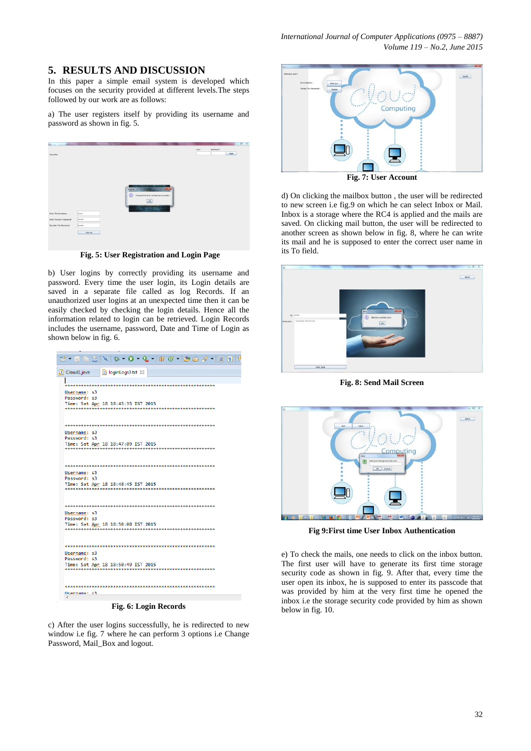# **5. RESULTS AND DISCUSSION**

In this paper a simple email system is developed which focuses on the security provided at different levels.The steps followed by our work are as follows:

a) The user registers itself by providing its username and password as shown in fig. 5.

| ibi.<br>$\sim$                                                         |                               |                                                                                                                                                                                |      |          | $m(0)$ $\leq$ |
|------------------------------------------------------------------------|-------------------------------|--------------------------------------------------------------------------------------------------------------------------------------------------------------------------------|------|----------|---------------|
|                                                                        |                               |                                                                                                                                                                                | user | password |               |
| CloudSim                                                               |                               |                                                                                                                                                                                |      | login    |               |
| Exter The Userliame<br>Enter The new Password<br>Re-ester The Pannword | user1<br>œ<br><br><br>Sign Up | <b>MODIFIED OF LIFE</b><br><b>THEFT</b><br>$\sim$<br><b>Expertise</b><br><b>Persuaded</b><br>Œ<br>Password & User created Successfully :<br>$\overline{\text{os}}$<br>in a mar |      |          |               |

**Fig. 5: User Registration and Login Page**

b) User logins by correctly providing its username and password. Every time the user login, its Login details are saved in a separate file called as log Records. If an unauthorized user logins at an unexpected time then it can be easily checked by checking the login details. Hence all the information related to login can be retrieved. Login Records includes the username, password, Date and Time of Login as shown below in fig. 6.

| Cloud1.java<br>loginLogs3.txt X                                                       |
|---------------------------------------------------------------------------------------|
|                                                                                       |
| Username: s3                                                                          |
| Password: s3                                                                          |
| Time: Sat Apr 18 18:45:35 IST 2015<br>--------------------<br>*********************** |
|                                                                                       |
|                                                                                       |
| Username: s3<br>Password: s3                                                          |
| Time: Sat Apr 18 18:47:09 IST 2015                                                    |
|                                                                                       |
|                                                                                       |
| Username: s3                                                                          |
| Password: s3                                                                          |
| Time: Sat Apr 18 18:48:45 IST 2015                                                    |
|                                                                                       |
|                                                                                       |
| Username: s3<br>Password: s3                                                          |
| Time: Sat Apr 18 18:50:08 IST 2015                                                    |
|                                                                                       |
|                                                                                       |
| Username: s3                                                                          |
| Password: s3                                                                          |
| Time: Sat Apr 18 18:50:49 IST 2015                                                    |
|                                                                                       |
|                                                                                       |
| Heername: <3                                                                          |
|                                                                                       |

**Fig. 6: Login Records**

c) After the user logins successfully, he is redirected to new window i.e fig. 7 where he can perform 3 options i.e Change Password, Mail Box and logout.



d) On clicking the mailbox button , the user will be redirected to new screen i.e fig.9 on which he can select Inbox or Mail. Inbox is a storage where the RC4 is applied and the mails are saved. On clicking mail button, the user will be redirected to another screen as shown below in fig. 8, where he can write its mail and he is supposed to enter the correct user name in its To field.



**Fig. 8: Send Mail Screen**



**Fig 9:First time User Inbox Authentication**

e) To check the mails, one needs to click on the inbox button. The first user will have to generate its first time storage security code as shown in fig. 9. After that, every time the user open its inbox, he is supposed to enter its passcode that was provided by him at the very first time he opened the inbox i.e the storage security code provided by him as shown below in fig. 10.